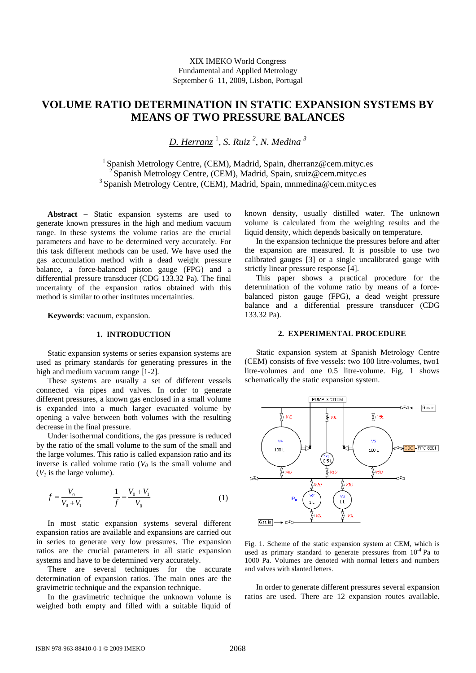# **VOLUME RATIO DETERMINATION IN STATIC EXPANSION SYSTEMS BY MEANS OF TWO PRESSURE BALANCES**

*D. Herranz* <sup>1</sup> , *S. Ruiz <sup>2</sup> , N. Medina <sup>3</sup>*

<sup>1</sup> Spanish Metrology Centre, (CEM), Madrid, Spain, dherranz@cem.mityc.es 2 Spanish Metrology Centre, (CEM), Madrid, Spain, sruiz@cem.mityc.es <sup>3</sup> Spanish Metrology Centre, (CEM), Madrid, Spain, mnmedina@cem.mityc.es

**Abstract** − Static expansion systems are used to generate known pressures in the high and medium vacuum range. In these systems the volume ratios are the crucial parameters and have to be determined very accurately. For this task different methods can be used. We have used the gas accumulation method with a dead weight pressure balance, a force-balanced piston gauge (FPG) and a differential pressure transducer (CDG 133.32 Pa). The final uncertainty of the expansion ratios obtained with this method is similar to other institutes uncertainties.

**Keywords**: vacuum, expansion.

#### **1. INTRODUCTION**

Static expansion systems or series expansion systems are used as primary standards for generating pressures in the high and medium vacuum range [1-2].

These systems are usually a set of different vessels connected via pipes and valves. In order to generate different pressures, a known gas enclosed in a small volume is expanded into a much larger evacuated volume by opening a valve between both volumes with the resulting decrease in the final pressure.

Under isothermal conditions, the gas pressure is reduced by the ratio of the small volume to the sum of the small and the large volumes. This ratio is called expansion ratio and its inverse is called volume ratio  $(V_0)$  is the small volume and  $(V<sub>1</sub>)$  is the large volume).

$$
f = \frac{V_0}{V_0 + V_1} \qquad \qquad \frac{1}{f} = \frac{V_0 + V_1}{V_0} \tag{1}
$$

In most static expansion systems several different expansion ratios are available and expansions are carried out in series to generate very low pressures. The expansion ratios are the crucial parameters in all static expansion systems and have to be determined very accurately.

There are several techniques for the accurate determination of expansion ratios. The main ones are the gravimetric technique and the expansion technique.

In the gravimetric technique the unknown volume is weighed both empty and filled with a suitable liquid of known density, usually distilled water. The unknown volume is calculated from the weighing results and the liquid density, which depends basically on temperature.

In the expansion technique the pressures before and after the expansion are measured. It is possible to use two calibrated gauges [3] or a single uncalibrated gauge with strictly linear pressure response [4].

This paper shows a practical procedure for the determination of the volume ratio by means of a forcebalanced piston gauge (FPG), a dead weight pressure balance and a differential pressure transducer (CDG 133.32 Pa).

#### **2. EXPERIMENTAL PROCEDURE**

Static expansion system at Spanish Metrology Centre (CEM) consists of five vessels: two 100 litre-volumes, two1 litre-volumes and one 0.5 litre-volume. Fig. 1 shows schematically the static expansion system.



Fig. 1. Scheme of the static expansion system at CEM, which is used as primary standard to generate pressures from  $10^{-4}$  Pa to 1000 Pa. Volumes are denoted with normal letters and numbers and valves with slanted letters.

In order to generate different pressures several expansion ratios are used. There are 12 expansion routes available.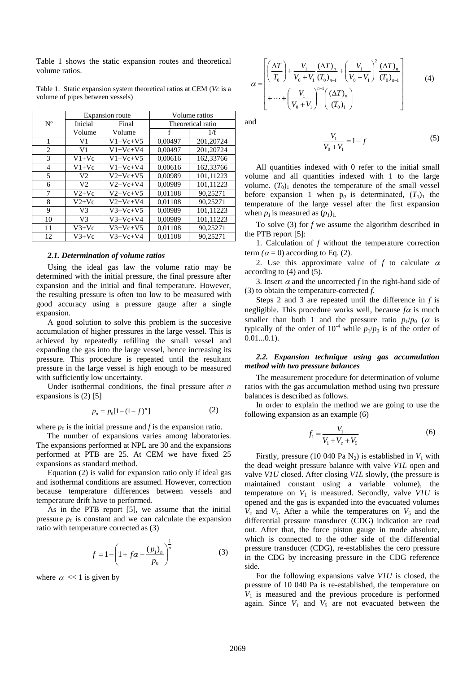Table 1 shows the static expansion routes and theoretical volume ratios.

|             | Expansion route |            | Volume ratios     |           |
|-------------|-----------------|------------|-------------------|-----------|
| $N^{\rm o}$ | Inicial         | Final      | Theoretical ratio |           |
|             | Volume          | Volume     | f                 | 1/f       |
| 1           | V <sub>1</sub>  | $V1+Vc+V5$ | 0.00497           | 201.20724 |
| 2           | V1              | $V1+Vc+V4$ | 0.00497           | 201,20724 |
| 3           | $V1+Vc$         | $V1+Vc+V5$ | 0,00616           | 162,33766 |
| 4           | $V1+Vc$         | $V1+Vc+V4$ | 0.00616           | 162,33766 |
| 5           | V2              | $V2+Vc+V5$ | 0.00989           | 101.11223 |
| 6           | V <sub>2</sub>  | $V2+Vc+V4$ | 0.00989           | 101,11223 |
| 7           | $V2+Vc$         | $V2+Vc+V5$ | 0.01108           | 90.25271  |
| 8           | $V2+Vc$         | $V2+Vc+V4$ | 0.01108           | 90.25271  |
| 9           | V3              | $V3+Vc+V5$ | 0.00989           | 101,11223 |
| 10          | V <sub>3</sub>  | $V3+Vc+V4$ | 0.00989           | 101,11223 |
| 11          | $V3+Vc$         | $V3+Vc+V5$ | 0,01108           | 90,25271  |
| 12          | $V3+Vc$         | $V3+Vc+V4$ | 0.01108           | 90.25271  |

Table 1. Static expansion system theoretical ratios at CEM (*Vc* is a volume of pipes between vessels)

#### *2.1. Determination of volume ratios*

Using the ideal gas law the volume ratio may be determined with the initial pressure, the final pressure after expansion and the initial and final temperature. However, the resulting pressure is often too low to be measured with good accuracy using a pressure gauge after a single expansion.

A good solution to solve this problem is the succesive accumulation of higher pressures in the large vessel. This is achieved by repeatedly refilling the small vessel and expanding the gas into the large vessel, hence increasing its pressure. This procedure is repeated until the resultant pressure in the large vessel is high enough to be measured with sufficiently low uncertainty.

Under isothermal conditions, the final pressure after *n*  expansions is (2) [5]

$$
p_n = p_0[1 - (1 - f)^n]
$$
 (2)

where  $p_0$  is the initial pressure and  $f$  is the expansion ratio.

The number of expansions varies among laboratories. The expansions performed at NPL are 30 and the expansions performed at PTB are 25. At CEM we have fixed 25 expansions as standard method.

Equation (2) is valid for expansion ratio only if ideal gas and isothermal conditions are assumed. However, correction because temperature differences between vessels and temperature drift have to performed.

As in the PTB report [5], we assume that the initial pressure  $p_0$  is constant and we can calculate the expansion ratio with temperature corrected as (3)

$$
f = 1 - \left(1 + f\alpha - \frac{(p_1)_n}{p_0}\right)^{\frac{1}{n}}\tag{3}
$$

where  $\alpha \ll 1$  is given by

$$
\alpha = \begin{bmatrix} \left(\frac{\Delta T}{T_0}\right) + \frac{V_1}{V_0 + V_1} \frac{(\Delta T)_n}{(T_0)_{n-1}} + \left(\frac{V_1}{V_0 + V_1}\right)^2 \frac{(\Delta T)_n}{(T_0)_{n-1}} \\ + \dots + \left(\frac{V_1}{V_0 + V_1}\right)^{n-1} \left(\frac{(\Delta T)_n}{(T_0)_1}\right) \end{bmatrix} \tag{4}
$$

and

$$
\frac{V_1}{V_0 + V_1} = 1 - f \tag{5}
$$

All quantities indexed with 0 refer to the initial small volume and all quantities indexed with 1 to the large volume.  $(T_0)$  denotes the temperature of the small vessel before expansion 1 when  $p_0$  is determinated,  $(T_1)$ <sub>1</sub> the temperature of the large vessel after the first expansion when  $p_1$  is measured as  $(p_1)_{1.}$ 

To solve (3) for *f* we assume the algorithm described in the PTB report [5]:

1. Calculation of *f* without the temperature correction term  $(\alpha = 0)$  according to Eq. (2).

2. Use this approximate value of  $f$  to calculate  $\alpha$ according to (4) and (5).

3. Insert  $\alpha$  and the uncorrected  $f$  in the right-hand side of (3) to obtain the temperature-corrected *f*.

Steps 2 and 3 are repeated until the difference in *f* is negligible. This procedure works well, because  $f\alpha$  is much smaller than both 1 and the pressure ratio  $p_1/p_0$  ( $\alpha$  is typically of the order of  $10^{-4}$  while  $p_1/p_0$  is of the order of  $0.01...0.1$ .

## *2.2. Expansion technique using gas accumulation method with two pressure balances*

The measurement procedure for determination of volume ratios with the gas accumulation method using two pressure balances is described as follows.

In order to explain the method we are going to use the following expansion as an example (6)

$$
f_1 = \frac{V_1}{V_1 + V_c + V_5}
$$
 (6)

Firstly, pressure (10 040 Pa  $N_2$ ) is established in  $V_1$  with the dead weight pressure balance with valve *V1L* open and valve *V1U* closed. After closing *V1L* slowly, (the pressure is maintained constant using a variable volume), the temperature on  $V_1$  is measured. Secondly, valve *V1U* is opened and the gas is expanded into the evacuated volumes  $V_c$  and  $V_5$ . After a while the temperatures on  $V_5$  and the differential pressure transducer (CDG) indication are read out. After that, the force piston gauge in mode absolute, which is connected to the other side of the differential pressure transducer (CDG), re-establishes the cero pressure in the CDG by increasing pressure in the CDG reference side.

For the following expansions valve *V1U* is closed, the pressure of 10 040 Pa is re-established, the temperature on  $V_1$  is measured and the previous procedure is performed again. Since  $V_1$  and  $V_5$  are not evacuated between the